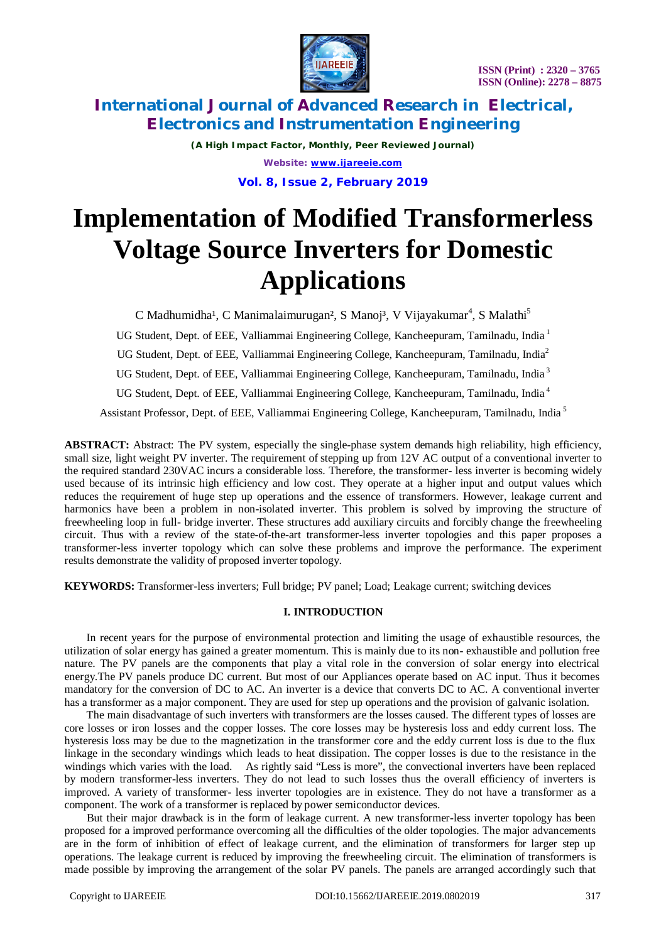

*(A High Impact Factor, Monthly, Peer Reviewed Journal) Website: [www.ijareeie.com](http://www.ijareeie.com)* **Vol. 8, Issue 2, February 2019**

# **Implementation of Modified Transformerless Voltage Source Inverters for Domestic Applications**

C Madhumidha<sup>1</sup>, C Manimalaimurugan<sup>2</sup>, S Manoj<sup>3</sup>, V Vijayakumar<sup>4</sup>, S Malathi<sup>5</sup> UG Student, Dept. of EEE, Valliammai Engineering College, Kancheepuram, Tamilnadu, India <sup>1</sup> UG Student, Dept. of EEE, Valliammai Engineering College, Kancheepuram, Tamilnadu, India<sup>2</sup> UG Student, Dept. of EEE, Valliammai Engineering College, Kancheepuram, Tamilnadu, India <sup>3</sup> UG Student, Dept. of EEE, Valliammai Engineering College, Kancheepuram, Tamilnadu, India <sup>4</sup> Assistant Professor, Dept. of EEE, Valliammai Engineering College, Kancheepuram, Tamilnadu, India <sup>5</sup>

**ABSTRACT:** Abstract: The PV system, especially the single-phase system demands high reliability, high efficiency, small size, light weight PV inverter. The requirement of stepping up from 12V AC output of a conventional inverter to the required standard 230VAC incurs a considerable loss. Therefore, the transformer- less inverter is becoming widely used because of its intrinsic high efficiency and low cost. They operate at a higher input and output values which reduces the requirement of huge step up operations and the essence of transformers. However, leakage current and harmonics have been a problem in non-isolated inverter. This problem is solved by improving the structure of freewheeling loop in full- bridge inverter. These structures add auxiliary circuits and forcibly change the freewheeling circuit. Thus with a review of the state-of-the-art transformer-less inverter topologies and this paper proposes a transformer-less inverter topology which can solve these problems and improve the performance. The experiment results demonstrate the validity of proposed inverter topology.

**KEYWORDS:** Transformer-less inverters; Full bridge; PV panel; Load; Leakage current; switching devices

### **I. INTRODUCTION**

 In recent years for the purpose of environmental protection and limiting the usage of exhaustible resources, the utilization of solar energy has gained a greater momentum. This is mainly due to its non- exhaustible and pollution free nature. The PV panels are the components that play a vital role in the conversion of solar energy into electrical energy.The PV panels produce DC current. But most of our Appliances operate based on AC input. Thus it becomes mandatory for the conversion of DC to AC. An inverter is a device that converts DC to AC. A conventional inverter has a transformer as a major component. They are used for step up operations and the provision of galvanic isolation.

 The main disadvantage of such inverters with transformers are the losses caused. The different types of losses are core losses or iron losses and the copper losses. The core losses may be hysteresis loss and eddy current loss. The hysteresis loss may be due to the magnetization in the transformer core and the eddy current loss is due to the flux linkage in the secondary windings which leads to heat dissipation. The copper losses is due to the resistance in the windings which varies with the load. As rightly said "Less is more", the convectional inverters have been replaced by modern transformer-less inverters. They do not lead to such losses thus the overall efficiency of inverters is improved. A variety of transformer- less inverter topologies are in existence. They do not have a transformer as a component. The work of a transformer is replaced by power semiconductor devices.

 But their major drawback is in the form of leakage current. A new transformer-less inverter topology has been proposed for a improved performance overcoming all the difficulties of the older topologies. The major advancements are in the form of inhibition of effect of leakage current, and the elimination of transformers for larger step up operations. The leakage current is reduced by improving the freewheeling circuit. The elimination of transformers is made possible by improving the arrangement of the solar PV panels. The panels are arranged accordingly such that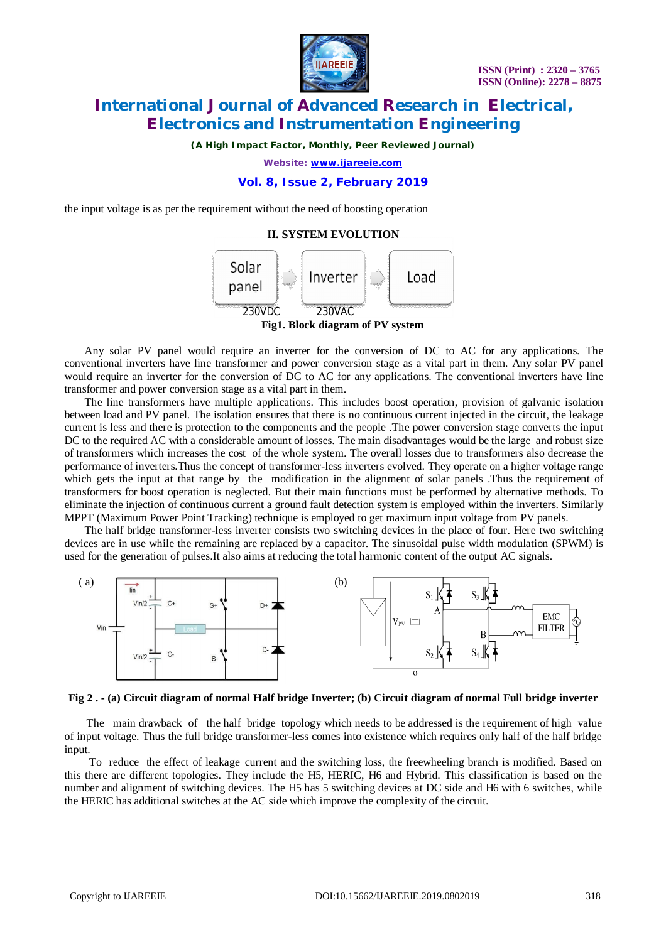

*(A High Impact Factor, Monthly, Peer Reviewed Journal)*

*Website: [www.ijareeie.com](http://www.ijareeie.com)*

# **Vol. 8, Issue 2, February 2019**

the input voltage is as per the requirement without the need of boosting operation

#### **II. SYSTEM EVOLUTION**



**Fig1. Block diagram of PV system**

Any solar PV panel would require an inverter for the conversion of DC to AC for any applications. The conventional inverters have line transformer and power conversion stage as a vital part in them. Any solar PV panel would require an inverter for the conversion of DC to AC for any applications. The conventional inverters have line transformer and power conversion stage as a vital part in them.

The line transformers have multiple applications. This includes boost operation, provision of galvanic isolation between load and PV panel. The isolation ensures that there is no continuous current injected in the circuit, the leakage current is less and there is protection to the components and the people .The power conversion stage converts the input DC to the required AC with a considerable amount of losses. The main disadvantages would be the large and robust size of transformers which increases the cost of the whole system. The overall losses due to transformers also decrease the performance of inverters.Thus the concept of transformer-less inverters evolved. They operate on a higher voltage range which gets the input at that range by the modification in the alignment of solar panels .Thus the requirement of transformers for boost operation is neglected. But their main functions must be performed by alternative methods. To eliminate the injection of continuous current a ground fault detection system is employed within the inverters. Similarly MPPT (Maximum Power Point Tracking) technique is employed to get maximum input voltage from PV panels.

The half bridge transformer-less inverter consists two switching devices in the place of four. Here two switching devices are in use while the remaining are replaced by a capacitor. The sinusoidal pulse width modulation (SPWM) is used for the generation of pulses.It also aims at reducing the total harmonic content of the output AC signals.



**Fig 2 . - (a) Circuit diagram of normal Half bridge Inverter; (b) Circuit diagram of normal Full bridge inverter**

The main drawback of the half bridge topology which needs to be addressed is the requirement of high value of input voltage. Thus the full bridge transformer-less comes into existence which requires only half of the half bridge input.

 To reduce the effect of leakage current and the switching loss, the freewheeling branch is modified. Based on this there are different topologies. They include the H5, HERIC, H6 and Hybrid. This classification is based on the number and alignment of switching devices. The H5 has 5 switching devices at DC side and H6 with 6 switches, while the HERIC has additional switches at the AC side which improve the complexity of the circuit.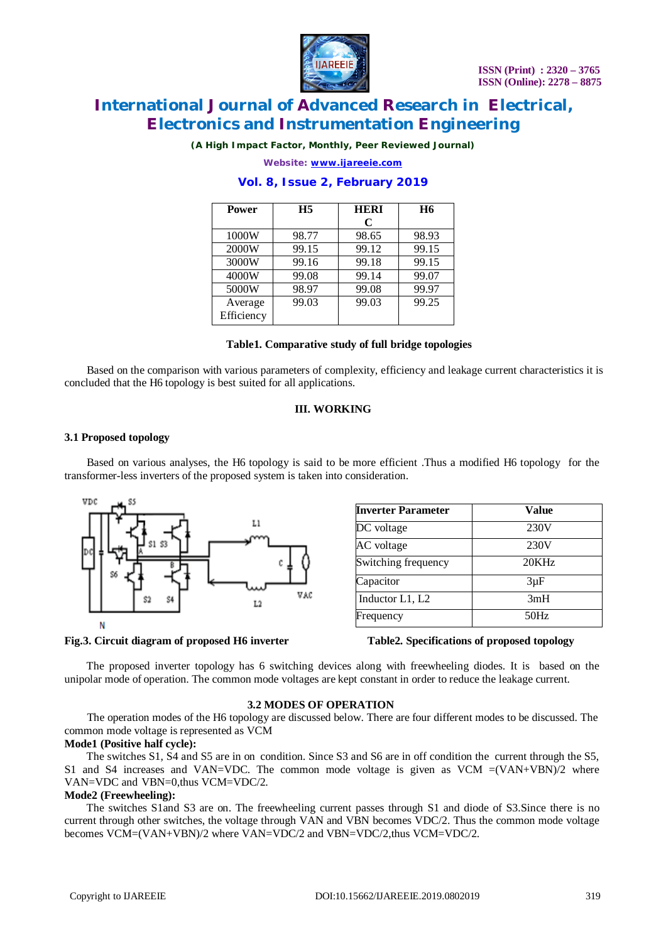

*(A High Impact Factor, Monthly, Peer Reviewed Journal)*

*Website: [www.ijareeie.com](http://www.ijareeie.com)*

## **Vol. 8, Issue 2, February 2019**

| <b>Power</b>          | H <sub>5</sub> | <b>HERI</b> | <b>H6</b> |
|-----------------------|----------------|-------------|-----------|
|                       |                | C           |           |
| 1000W                 | 98.77          | 98.65       | 98.93     |
| 2000W                 | 99.15          | 99.12       | 99.15     |
| 3000W                 | 99.16          | 99.18       | 99.15     |
| 4000W                 | 99.08          | 99.14       | 99.07     |
| 5000W                 | 98.97          | 99.08       | 99.97     |
| Average<br>Efficiency | 99.03          | 99.03       | 99.25     |

#### **Table1. Comparative study of full bridge topologies**

 Based on the comparison with various parameters of complexity, efficiency and leakage current characteristics it is concluded that the H6 topology is best suited for all applications.

### **III. WORKING**

#### **3.1 Proposed topology**

 Based on various analyses, the H6 topology is said to be more efficient .Thus a modified H6 topology for the transformer-less inverters of the proposed system is taken into consideration.



| <b>Value</b> |  |
|--------------|--|
| 230V         |  |
| 230V         |  |
| 20KHz        |  |
| $3\mu F$     |  |
| 3mH          |  |
| 50Hz         |  |
|              |  |

#### **Fig.3. Circuit diagram of proposed H6 inverter Table2. Specifications of proposed topology**

 The proposed inverter topology has 6 switching devices along with freewheeling diodes. It is based on the unipolar mode of operation. The common mode voltages are kept constant in order to reduce the leakage current.

#### **3.2 MODES OF OPERATION**

 The operation modes of the H6 topology are discussed below. There are four different modes to be discussed. The common mode voltage is represented as VCM

#### **Mode1 (Positive half cycle):**

 The switches S1, S4 and S5 are in on condition. Since S3 and S6 are in off condition the current through the S5, S1 and S4 increases and VAN=VDC. The common mode voltage is given as VCM  $=(VAN+VBN)/2$  where VAN=VDC and VBN=0,thus VCM=VDC/2.

#### **Mode2 (Freewheeling):**

 The switches S1and S3 are on. The freewheeling current passes through S1 and diode of S3.Since there is no current through other switches, the voltage through VAN and VBN becomes VDC/2. Thus the common mode voltage becomes VCM=(VAN+VBN)/2 where VAN=VDC/2 and VBN=VDC/2, thus VCM=VDC/2.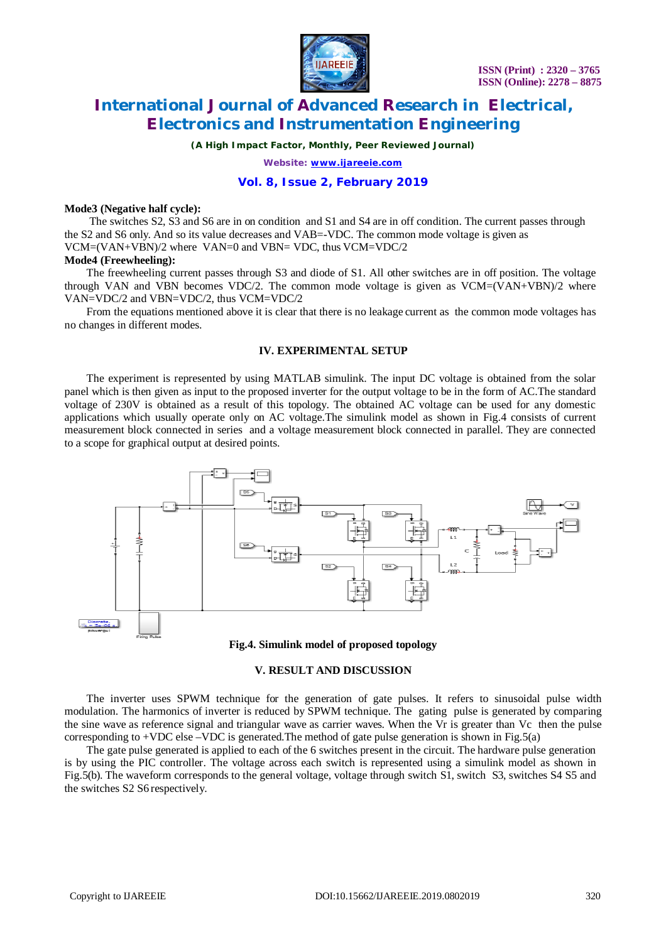

*(A High Impact Factor, Monthly, Peer Reviewed Journal)*

*Website: [www.ijareeie.com](http://www.ijareeie.com)*

### **Vol. 8, Issue 2, February 2019**

#### **Mode3 (Negative half cycle):**

 The switches S2, S3 and S6 are in on condition and S1 and S4 are in off condition. The current passes through the S2 and S6 only. And so its value decreases and VAB=-VDC. The common mode voltage is given as VCM=(VAN+VBN)/2 where VAN=0 and VBN= VDC, thus VCM=VDC/2

#### **Mode4 (Freewheeling):**

 The freewheeling current passes through S3 and diode of S1. All other switches are in off position. The voltage through VAN and VBN becomes VDC/2. The common mode voltage is given as  $VCM=(VAN+VBN)/2$  where VAN=VDC/2 and VBN=VDC/2, thus VCM=VDC/2

 From the equations mentioned above it is clear that there is no leakage current as the common mode voltages has no changes in different modes.

# **IV. EXPERIMENTAL SETUP**

 The experiment is represented by using MATLAB simulink. The input DC voltage is obtained from the solar panel which is then given as input to the proposed inverter for the output voltage to be in the form of AC.The standard voltage of 230V is obtained as a result of this topology. The obtained AC voltage can be used for any domestic applications which usually operate only on AC voltage.The simulink model as shown in Fig.4 consists of current measurement block connected in series and a voltage measurement block connected in parallel. They are connected to a scope for graphical output at desired points.





### **V. RESULT AND DISCUSSION**

 The inverter uses SPWM technique for the generation of gate pulses. It refers to sinusoidal pulse width modulation. The harmonics of inverter is reduced by SPWM technique. The gating pulse is generated by comparing the sine wave as reference signal and triangular wave as carrier waves. When the Vr is greater than Vc then the pulse corresponding to  $+VDC$  else  $-VDC$  is generated. The method of gate pulse generation is shown in Fig.5(a)

 The gate pulse generated is applied to each of the 6 switches present in the circuit. The hardware pulse generation is by using the PIC controller. The voltage across each switch is represented using a simulink model as shown in Fig.5(b). The waveform corresponds to the general voltage, voltage through switch S1, switch S3, switches S4 S5 and the switches S2 S6 respectively.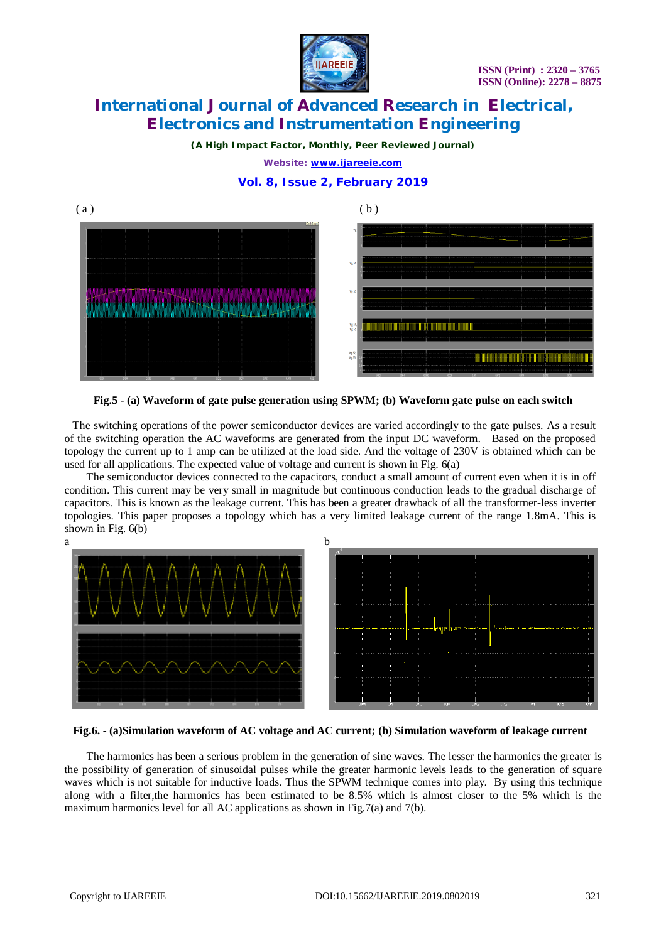

*(A High Impact Factor, Monthly, Peer Reviewed Journal)*

*Website: [www.ijareeie.com](http://www.ijareeie.com)*

# **Vol. 8, Issue 2, February 2019**



**Fig.5 - (a) Waveform of gate pulse generation using SPWM; (b) Waveform gate pulse on each switch**

 The switching operations of the power semiconductor devices are varied accordingly to the gate pulses. As a result of the switching operation the AC waveforms are generated from the input DC waveform. Based on the proposed topology the current up to 1 amp can be utilized at the load side. And the voltage of 230V is obtained which can be used for all applications. The expected value of voltage and current is shown in Fig. 6(a)

 The semiconductor devices connected to the capacitors, conduct a small amount of current even when it is in off condition. This current may be very small in magnitude but continuous conduction leads to the gradual discharge of capacitors. This is known as the leakage current. This has been a greater drawback of all the transformer-less inverter topologies. This paper proposes a topology which has a very limited leakage current of the range 1.8mA. This is shown in Fig. 6(b)



#### **Fig.6. - (a)Simulation waveform of AC voltage and AC current; (b) Simulation waveform of leakage current**

 The harmonics has been a serious problem in the generation of sine waves. The lesser the harmonics the greater is the possibility of generation of sinusoidal pulses while the greater harmonic levels leads to the generation of square waves which is not suitable for inductive loads. Thus the SPWM technique comes into play. By using this technique along with a filter,the harmonics has been estimated to be 8.5% which is almost closer to the 5% which is the maximum harmonics level for all AC applications as shown in Fig.7(a) and 7(b).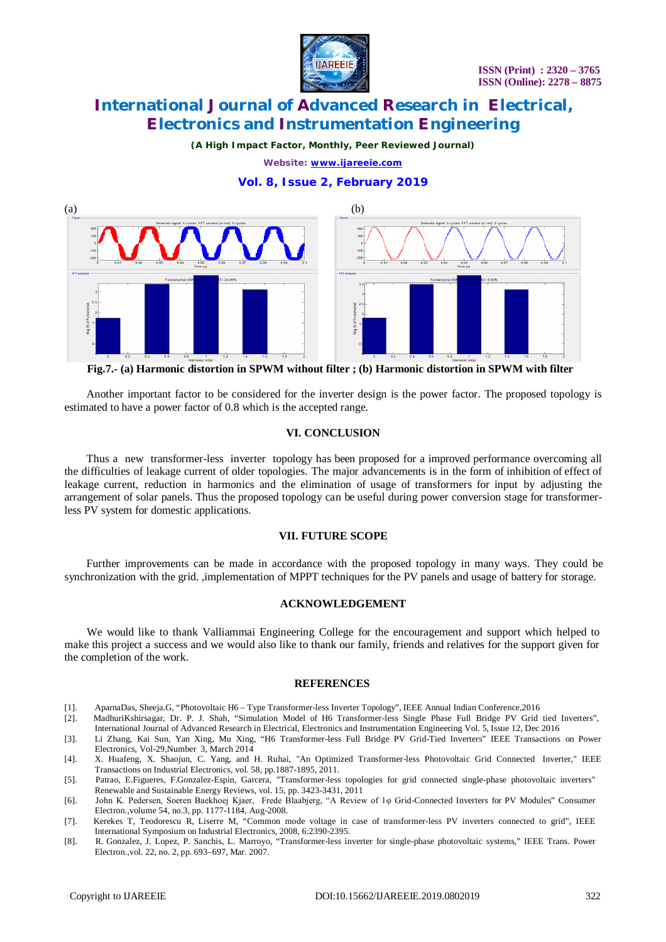

*(A High Impact Factor, Monthly, Peer Reviewed Journal)*

*Website: [www.ijareeie.com](http://www.ijareeie.com)*

# **Vol. 8, Issue 2, February 2019**



**Fig.7.- (a) Harmonic distortion in SPWM without filter ; (b) Harmonic distortion in SPWM with filter**

 Another important factor to be considered for the inverter design is the power factor. The proposed topology is estimated to have a power factor of 0.8 which is the accepted range.

#### **VI. CONCLUSION**

Thus a new transformer-less inverter topology has been proposed for a improved performance overcoming all the difficulties of leakage current of older topologies. The major advancements is in the form of inhibition of effect of leakage current, reduction in harmonics and the elimination of usage of transformers for input by adjusting the arrangement of solar panels. Thus the proposed topology can be useful during power conversion stage for transformerless PV system for domestic applications.

#### **VII. FUTURE SCOPE**

 Further improvements can be made in accordance with the proposed topology in many ways. They could be synchronization with the grid. ,implementation of MPPT techniques for the PV panels and usage of battery for storage.

#### **ACKNOWLEDGEMENT**

We would like to thank Valliammai Engineering College for the encouragement and support which helped to make this project a success and we would also like to thank our family, friends and relatives for the support given for the completion of the work.

#### **REFERENCES**

[1]. AparnaDas, Sheeja.G, "Photovoltaic H6 – Type Transformer-less Inverter Topology", IEEE Annual Indian Conference,2016

[2]. MadhuriKshirsagar, Dr. P. J. Shah, "Simulation Model of H6 Transformer-less Single Phase Full Bridge PV Grid tied Inverters", International Journal of Advanced Research in Electrical, Electronics and Instrumentation Engineering Vol. 5, Issue 12, Dec 2016

[3]. Li Zhang, Kai Sun, Yan Xing, Mu Xing, "H6 Transformer-less Full Bridge PV Grid-Tied Inverters" IEEE Transactions on Power Electronics, Vol-29,Number 3, March 2014

[4]. X. Huafeng, X. Shaojun, C. Yang, and H. Ruhai, "An Optimized Transformer-less Photovoltaic Grid Connected Inverter," IEEE Transactions on Industrial Electronics, vol. 58, pp.1887-1895, 2011.

- [5]. Patrao, E.Figueres, F.Gonzalez-Espin, Garcera, "Transformer-less topologies for grid connected single-phase photovoltaic inverters" Renewable and Sustainable Energy Reviews, vol. 15, pp. 3423-3431, 2011
- [6]. John K. Pedersen, Soeren Baekhoej Kjaer, Frede Blaabjerg, "A Review of 1φ Grid-Connected Inverters for PV Modules" Consumer Electron.,volume 54, no.3, pp. 1177-1184, Aug-2008.
- [7]. Kerekes T, Teodorescu R, Liserre M, "Common mode voltage in case of transformer-less PV inverters connected to grid", IEEE International Symposium on Industrial Electronics, 2008, 6:2390-2395.
- [8]. R. Gonzalez, J. Lopez, P. Sanchis, L. Marroyo, "Transformer-less inverter for single-phase photovoltaic systems," IEEE Trans. Power Electron.,vol. 22, no. 2, pp. 693–697, Mar. 2007.